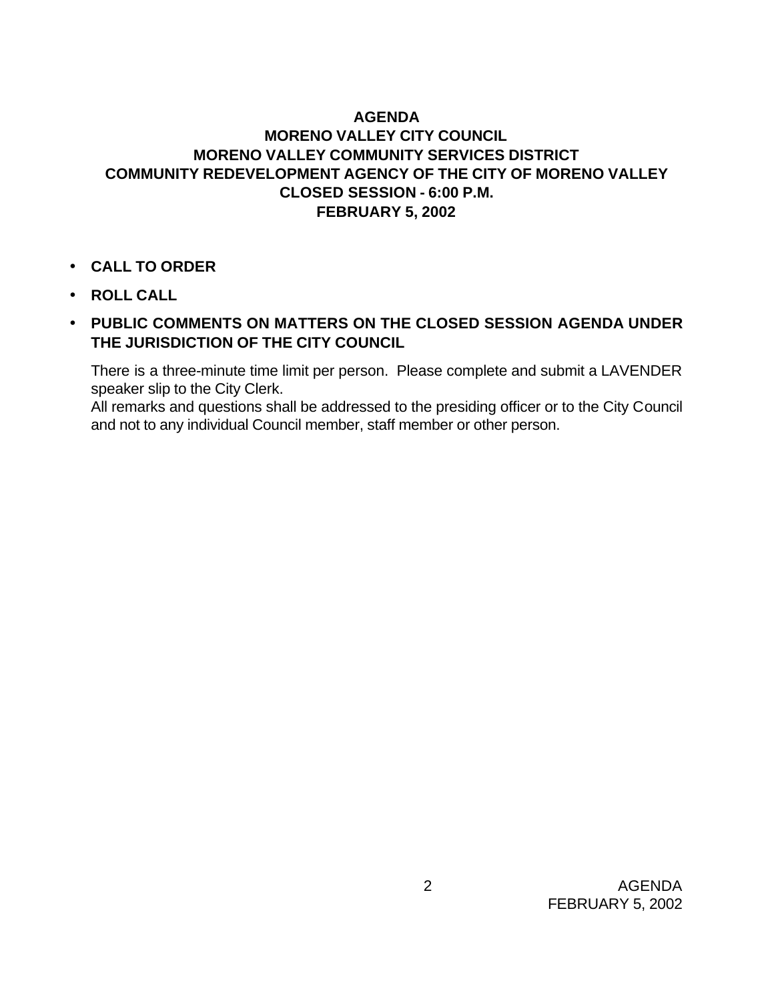## **AGENDA MORENO VALLEY CITY COUNCIL MORENO VALLEY COMMUNITY SERVICES DISTRICT COMMUNITY REDEVELOPMENT AGENCY OF THE CITY OF MORENO VALLEY CLOSED SESSION - 6:00 P.M. FEBRUARY 5, 2002**

- **CALL TO ORDER**
- **ROLL CALL**
- **PUBLIC COMMENTS ON MATTERS ON THE CLOSED SESSION AGENDA UNDER THE JURISDICTION OF THE CITY COUNCIL**

There is a three-minute time limit per person. Please complete and submit a LAVENDER speaker slip to the City Clerk.

All remarks and questions shall be addressed to the presiding officer or to the City Council and not to any individual Council member, staff member or other person.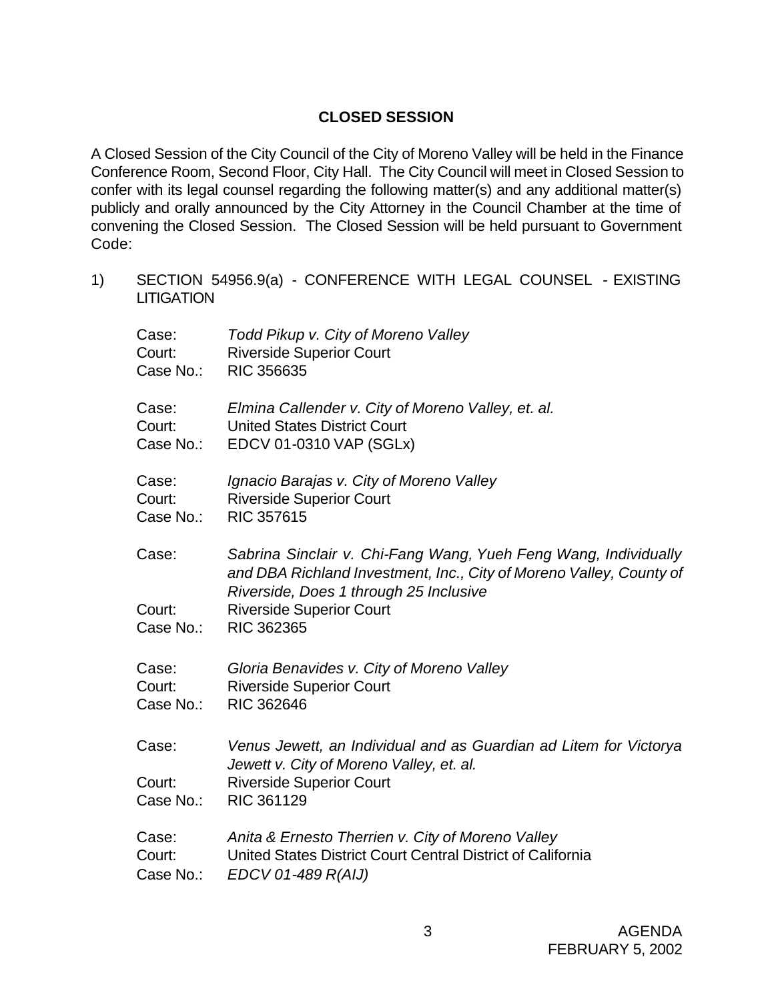## **CLOSED SESSION**

A Closed Session of the City Council of the City of Moreno Valley will be held in the Finance Conference Room, Second Floor, City Hall. The City Council will meet in Closed Session to confer with its legal counsel regarding the following matter(s) and any additional matter(s) publicly and orally announced by the City Attorney in the Council Chamber at the time of convening the Closed Session. The Closed Session will be held pursuant to Government Code:

1) SECTION 54956.9(a) - CONFERENCE WITH LEGAL COUNSEL - EXISTING **LITIGATION** 

| Case:     | Todd Pikup v. City of Moreno Valley                                                                                                                                              |
|-----------|----------------------------------------------------------------------------------------------------------------------------------------------------------------------------------|
| Court:    | <b>Riverside Superior Court</b>                                                                                                                                                  |
| Case No.: | <b>RIC 356635</b>                                                                                                                                                                |
| Case:     | Elmina Callender v. City of Moreno Valley, et. al.                                                                                                                               |
| Court:    | <b>United States District Court</b>                                                                                                                                              |
| Case No.: | EDCV 01-0310 VAP (SGLx)                                                                                                                                                          |
| Case:     | Ignacio Barajas v. City of Moreno Valley                                                                                                                                         |
| Court:    | <b>Riverside Superior Court</b>                                                                                                                                                  |
| Case No.: | RIC 357615                                                                                                                                                                       |
| Case:     | Sabrina Sinclair v. Chi-Fang Wang, Yueh Feng Wang, Individually<br>and DBA Richland Investment, Inc., City of Moreno Valley, County of<br>Riverside, Does 1 through 25 Inclusive |
| Court:    | <b>Riverside Superior Court</b>                                                                                                                                                  |
| Case No.: | RIC 362365                                                                                                                                                                       |
| Case:     | Gloria Benavides v. City of Moreno Valley                                                                                                                                        |
| Court:    | <b>Riverside Superior Court</b>                                                                                                                                                  |
| Case No.: | RIC 362646                                                                                                                                                                       |
| Case:     | Venus Jewett, an Individual and as Guardian ad Litem for Victorya<br>Jewett v. City of Moreno Valley, et. al.                                                                    |
| Court:    | <b>Riverside Superior Court</b>                                                                                                                                                  |
| Case No.: | RIC 361129                                                                                                                                                                       |
| Case:     | Anita & Ernesto Therrien v. City of Moreno Valley                                                                                                                                |
| Court:    | United States District Court Central District of California                                                                                                                      |
| Case No.: | EDCV 01-489 R(AIJ)                                                                                                                                                               |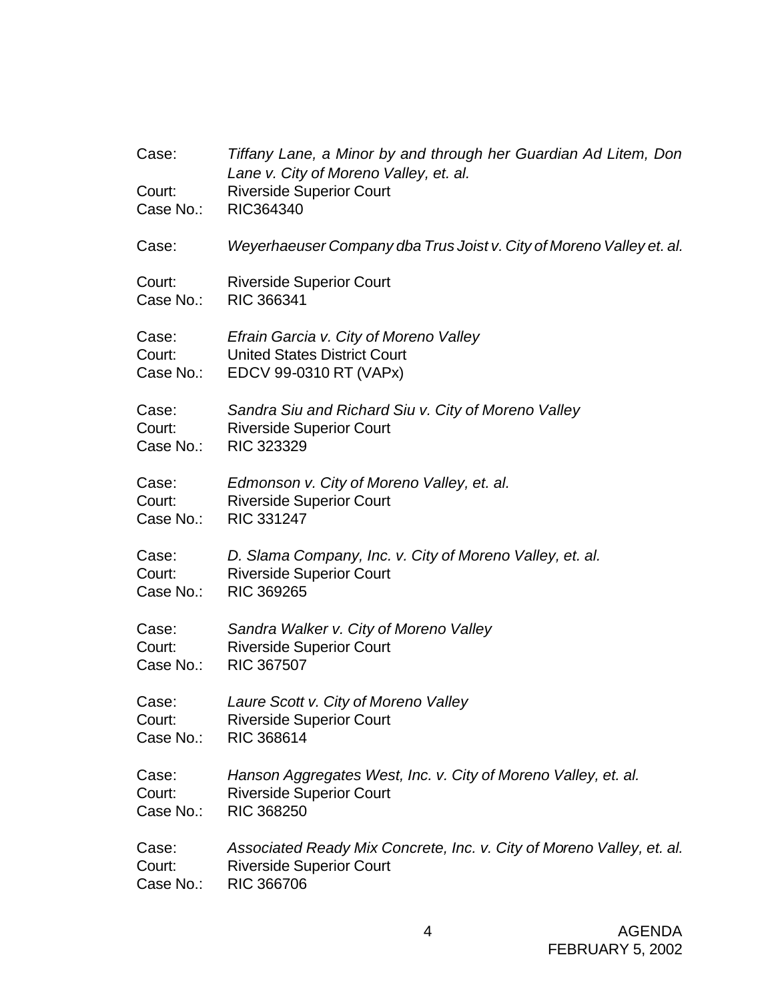| Case:<br>Court:<br>Case No.: | Tiffany Lane, a Minor by and through her Guardian Ad Litem, Don<br>Lane v. City of Moreno Valley, et. al.<br><b>Riverside Superior Court</b><br>RIC364340 |
|------------------------------|-----------------------------------------------------------------------------------------------------------------------------------------------------------|
| Case:                        | Weyerhaeuser Company dba Trus Joist v. City of Moreno Valley et. al.                                                                                      |
| Court:                       | <b>Riverside Superior Court</b>                                                                                                                           |
| Case No.:                    | <b>RIC 366341</b>                                                                                                                                         |
| Case:<br>Court:              | Efrain Garcia v. City of Moreno Valley<br><b>United States District Court</b><br>Case No.: EDCV 99-0310 RT (VAPx)                                         |
| Case:                        | Sandra Siu and Richard Siu v. City of Moreno Valley                                                                                                       |
| Court:                       | <b>Riverside Superior Court</b>                                                                                                                           |
|                              | Case No.: RIC 323329                                                                                                                                      |
| Case:                        | Edmonson v. City of Moreno Valley, et. al.                                                                                                                |
| Court:                       | <b>Riverside Superior Court</b>                                                                                                                           |
| Case No.:                    | RIC 331247                                                                                                                                                |
| Case:                        | D. Slama Company, Inc. v. City of Moreno Valley, et. al.                                                                                                  |
| Court:                       | <b>Riverside Superior Court</b>                                                                                                                           |
| Case No.:                    | <b>RIC 369265</b>                                                                                                                                         |
| Case:                        | Sandra Walker v. City of Moreno Valley                                                                                                                    |
| Court:                       | <b>Riverside Superior Court</b>                                                                                                                           |
| Case No.:                    | <b>RIC 367507</b>                                                                                                                                         |
| Case:                        | Laure Scott v. City of Moreno Valley                                                                                                                      |
| Court:                       | <b>Riverside Superior Court</b>                                                                                                                           |
| Case No.:                    | RIC 368614                                                                                                                                                |
| Case:                        | Hanson Aggregates West, Inc. v. City of Moreno Valley, et. al.                                                                                            |
| Court:                       | <b>Riverside Superior Court</b>                                                                                                                           |
| Case No.:                    | <b>RIC 368250</b>                                                                                                                                         |
| Case:                        | Associated Ready Mix Concrete, Inc. v. City of Moreno Valley, et. al.                                                                                     |
| Court:                       | <b>Riverside Superior Court</b>                                                                                                                           |
| Case No.:                    | <b>RIC 366706</b>                                                                                                                                         |